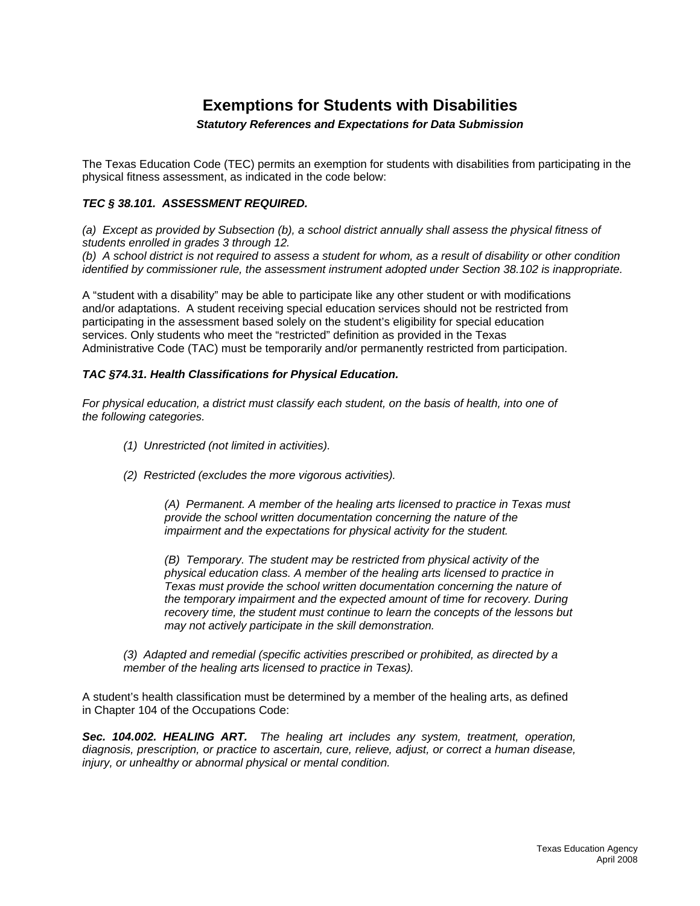# **Exemptions for Students with Disabilities**

# *Statutory References and Expectations for Data Submission*

The Texas Education Code (TEC) permits an exemption for students with disabilities from participating in the physical fitness assessment, as indicated in the code below:

# *TEC § 38.101. ASSESSMENT REQUIRED.*

*(a) Except as provided by Subsection (b), a school district annually shall assess the physical fitness of students enrolled in grades 3 through 12.* 

*(b) A school district is not required to assess a student for whom, as a result of disability or other condition identified by commissioner rule, the assessment instrument adopted under Section 38.102 is inappropriate.* 

A "student with a disability" may be able to participate like any other student or with modifications and/or adaptations. A student receiving special education services should not be restricted from participating in the assessment based solely on the student's eligibility for special education services. Only students who meet the "restricted" definition as provided in the Texas Administrative Code (TAC) must be temporarily and/or permanently restricted from participation.

# *TAC §74.31. Health Classifications for Physical Education.*

*For physical education, a district must classify each student, on the basis of health, into one of the following categories.* 

- *(1) Unrestricted (not limited in activities).*
- *(2) Restricted (excludes the more vigorous activities).*

*(A) Permanent. A member of the healing arts licensed to practice in Texas must provide the school written documentation concerning the nature of the impairment and the expectations for physical activity for the student.* 

*(B) Temporary. The student may be restricted from physical activity of the physical education class. A member of the healing arts licensed to practice in Texas must provide the school written documentation concerning the nature of the temporary impairment and the expected amount of time for recovery. During recovery time, the student must continue to learn the concepts of the lessons but may not actively participate in the skill demonstration.* 

*(3) Adapted and remedial (specific activities prescribed or prohibited, as directed by a member of the healing arts licensed to practice in Texas).* 

A student's health classification must be determined by a member of the healing arts, as defined in Chapter 104 of the Occupations Code:

*Sec. 104.002. HEALING ART. The healing art includes any system, treatment, operation, diagnosis, prescription, or practice to ascertain, cure, relieve, adjust, or correct a human disease, injury, or unhealthy or abnormal physical or mental condition.*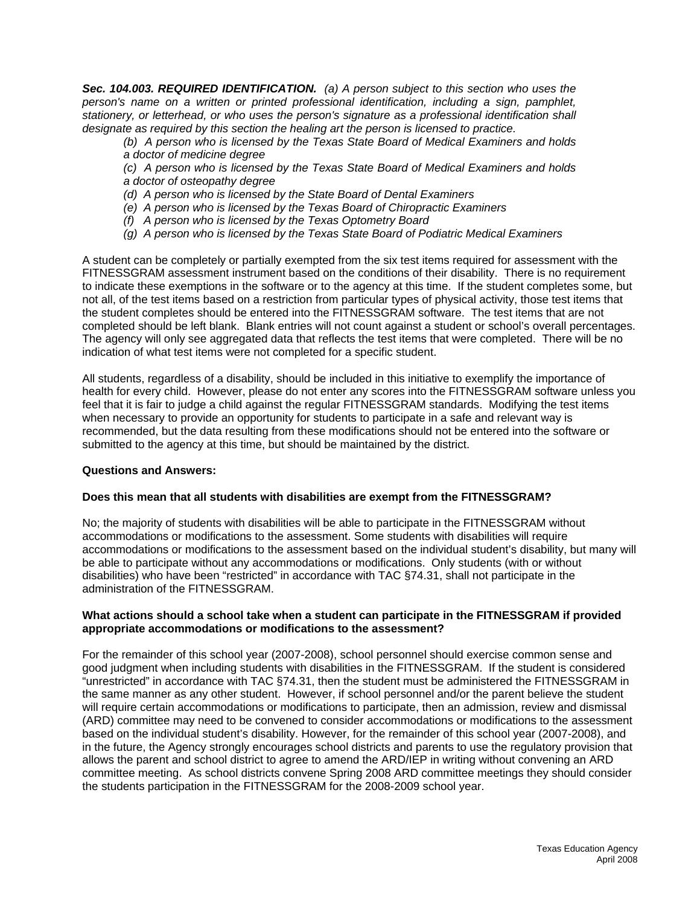*Sec. 104.003. REQUIRED IDENTIFICATION. (a) A person subject to this section who uses the person's name on a written or printed professional identification, including a sign, pamphlet, stationery, or letterhead, or who uses the person's signature as a professional identification shall designate as required by this section the healing art the person is licensed to practice.* 

*(b) A person who is licensed by the Texas State Board of Medical Examiners and holds a doctor of medicine degree* 

*(c) A person who is licensed by the Texas State Board of Medical Examiners and holds a doctor of osteopathy degree* 

*(d) A person who is licensed by the State Board of Dental Examiners* 

*(e) A person who is licensed by the Texas Board of Chiropractic Examiners* 

- *(f) A person who is licensed by the Texas Optometry Board*
- *(g) A person who is licensed by the Texas State Board of Podiatric Medical Examiners*

A student can be completely or partially exempted from the six test items required for assessment with the FITNESSGRAM assessment instrument based on the conditions of their disability. There is no requirement to indicate these exemptions in the software or to the agency at this time. If the student completes some, but not all, of the test items based on a restriction from particular types of physical activity, those test items that the student completes should be entered into the FITNESSGRAM software. The test items that are not completed should be left blank. Blank entries will not count against a student or school's overall percentages. The agency will only see aggregated data that reflects the test items that were completed. There will be no indication of what test items were not completed for a specific student.

All students, regardless of a disability, should be included in this initiative to exemplify the importance of health for every child. However, please do not enter any scores into the FITNESSGRAM software unless you feel that it is fair to judge a child against the regular FITNESSGRAM standards. Modifying the test items when necessary to provide an opportunity for students to participate in a safe and relevant way is recommended, but the data resulting from these modifications should not be entered into the software or submitted to the agency at this time, but should be maintained by the district.

## **Questions and Answers:**

## **Does this mean that all students with disabilities are exempt from the FITNESSGRAM?**

No; the majority of students with disabilities will be able to participate in the FITNESSGRAM without accommodations or modifications to the assessment. Some students with disabilities will require accommodations or modifications to the assessment based on the individual student's disability, but many will be able to participate without any accommodations or modifications. Only students (with or without disabilities) who have been "restricted" in accordance with TAC §74.31, shall not participate in the administration of the FITNESSGRAM.

#### **What actions should a school take when a student can participate in the FITNESSGRAM if provided appropriate accommodations or modifications to the assessment?**

For the remainder of this school year (2007-2008), school personnel should exercise common sense and good judgment when including students with disabilities in the FITNESSGRAM. If the student is considered "unrestricted" in accordance with TAC §74.31, then the student must be administered the FITNESSGRAM in the same manner as any other student. However, if school personnel and/or the parent believe the student will require certain accommodations or modifications to participate, then an admission, review and dismissal (ARD) committee may need to be convened to consider accommodations or modifications to the assessment based on the individual student's disability. However, for the remainder of this school year (2007-2008), and in the future, the Agency strongly encourages school districts and parents to use the regulatory provision that allows the parent and school district to agree to amend the ARD/IEP in writing without convening an ARD committee meeting. As school districts convene Spring 2008 ARD committee meetings they should consider the students participation in the FITNESSGRAM for the 2008-2009 school year.